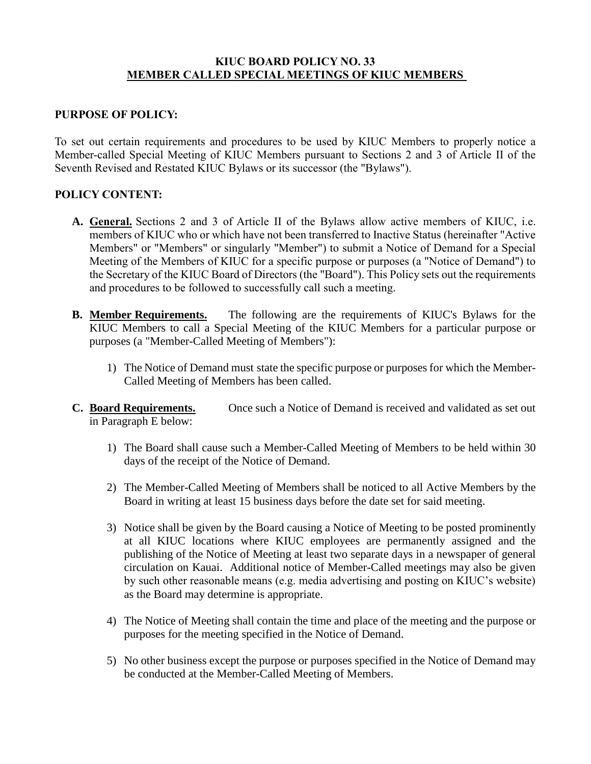# **KIUC BOARD POLICY NO. 33 MEMBER CALLED SPECIAL MEETINGS OF KIUC MEMBERS**

# **PURPOSE OF POLICY:**

To set out certain requirements and procedures to be used by KIUC Members to properly notice a Member-called Special Meeting of KIUC Members pursuant to Sections 2 and 3 of Article II of the Seventh Revised and Restated KIUC Bylaws or its successor (the "Bylaws").

# **POLICY CONTENT:**

- **A. General.** Sections 2 and 3 of Article II of the Bylaws allow active members of KIUC, i.e. members of KIUC who or which have not been transferred to Inactive Status (hereinafter "Active Members" or "Members" or singularly "Member") to submit a Notice of Demand for a Special Meeting of the Members of KIUC for a specific purpose or purposes (a "Notice of Demand") to the Secretary of the KIUC Board of Directors (the "Board"). This Policy sets out the requirements and procedures to be followed to successfully call such a meeting.
- **B. Member Requirements.** The following are the requirements of KIUC's Bylaws for the KIUC Members to call a Special Meeting of the KIUC Members for a particular purpose or purposes (a "Member-Called Meeting of Members"):
	- 1) The Notice of Demand must state the specific purpose or purposes for which the Member-Called Meeting of Members has been called.
- **C. Board Requirements.** Once such a Notice of Demand is received and validated as set out in Paragraph E below:
	- 1) The Board shall cause such a Member-Called Meeting of Members to be held within 30 days of the receipt of the Notice of Demand.
	- 2) The Member-Called Meeting of Members shall be noticed to all Active Members by the Board in writing at least 15 business days before the date set for said meeting.
	- 3) Notice shall be given by the Board causing a Notice of Meeting to be posted prominently at all KIUC locations where KIUC employees are permanently assigned and the publishing of the Notice of Meeting at least two separate days in a newspaper of general circulation on Kauai. Additional notice of Member-Called meetings may also be given by such other reasonable means (e.g. media advertising and posting on KIUC's website) as the Board may determine is appropriate.
	- 4) The Notice of Meeting shall contain the time and place of the meeting and the purpose or purposes for the meeting specified in the Notice of Demand.
	- 5) No other business except the purpose or purposes specified in the Notice of Demand may be conducted at the Member-Called Meeting of Members.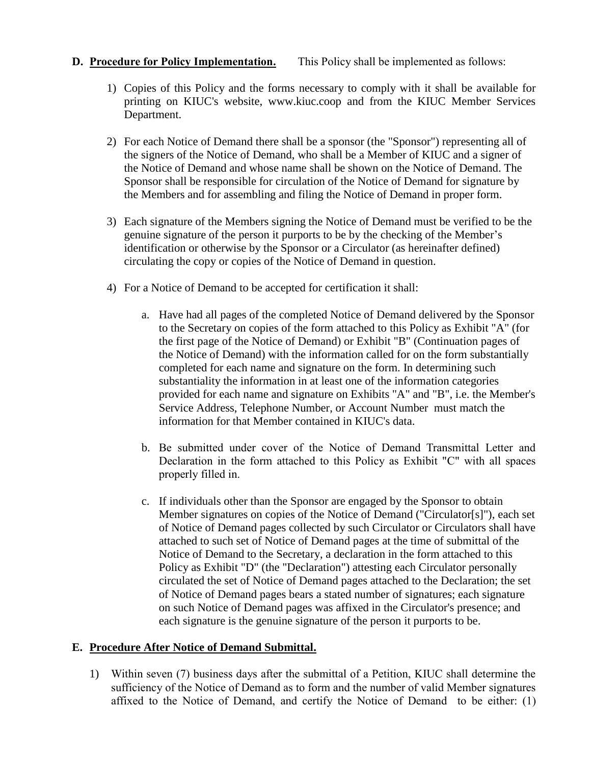# **D. Procedure for Policy Implementation.** This Policy shall be implemented as follows:

- 1) Copies of this Policy and the forms necessary to comply with it shall be available for printing on KIUC's website, www.kiuc.coop and from the KIUC Member Services Department.
- 2) For each Notice of Demand there shall be a sponsor (the "Sponsor") representing all of the signers of the Notice of Demand, who shall be a Member of KIUC and a signer of the Notice of Demand and whose name shall be shown on the Notice of Demand. The Sponsor shall be responsible for circulation of the Notice of Demand for signature by the Members and for assembling and filing the Notice of Demand in proper form.
- 3) Each signature of the Members signing the Notice of Demand must be verified to be the genuine signature of the person it purports to be by the checking of the Member's identification or otherwise by the Sponsor or a Circulator (as hereinafter defined) circulating the copy or copies of the Notice of Demand in question.
- 4) For a Notice of Demand to be accepted for certification it shall:
	- a. Have had all pages of the completed Notice of Demand delivered by the Sponsor to the Secretary on copies of the form attached to this Policy as Exhibit "A" (for the first page of the Notice of Demand) or Exhibit "B" (Continuation pages of the Notice of Demand) with the information called for on the form substantially completed for each name and signature on the form. In determining such substantiality the information in at least one of the information categories provided for each name and signature on Exhibits "A" and "B", i.e. the Member's Service Address, Telephone Number, or Account Number must match the information for that Member contained in KIUC's data.
	- b. Be submitted under cover of the Notice of Demand Transmittal Letter and Declaration in the form attached to this Policy as Exhibit "C" with all spaces properly filled in.
	- c. If individuals other than the Sponsor are engaged by the Sponsor to obtain Member signatures on copies of the Notice of Demand ("Circulator[s]"), each set of Notice of Demand pages collected by such Circulator or Circulators shall have attached to such set of Notice of Demand pages at the time of submittal of the Notice of Demand to the Secretary, a declaration in the form attached to this Policy as Exhibit "D" (the "Declaration") attesting each Circulator personally circulated the set of Notice of Demand pages attached to the Declaration; the set of Notice of Demand pages bears a stated number of signatures; each signature on such Notice of Demand pages was affixed in the Circulator's presence; and each signature is the genuine signature of the person it purports to be.

# **E. Procedure After Notice of Demand Submittal.**

1) Within seven (7) business days after the submittal of a Petition, KIUC shall determine the sufficiency of the Notice of Demand as to form and the number of valid Member signatures affixed to the Notice of Demand, and certify the Notice of Demand to be either: (1)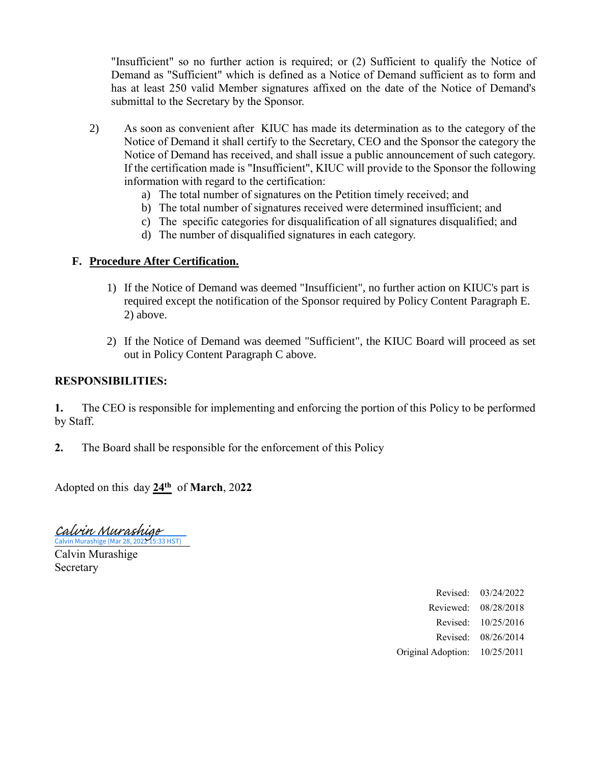"Insufficient" so no further action is required; or (2) Sufficient to qualify the Notice of Demand as "Sufficient" which is defined as a Notice of Demand sufficient as to form and has at least 250 valid Member signatures affixed on the date of the Notice of Demand's submittal to the Secretary by the Sponsor.

- 2) As soon as convenient after KIUC has made its determination as to the category of the Notice of Demand it shall certify to the Secretary, CEO and the Sponsor the category the Notice of Demand has received, and shall issue a public announcement of such category. If the certification made is "Insufficient", KIUC will provide to the Sponsor the following information with regard to the certification:
	- a) The total number of signatures on the Petition timely received; and
	- b) The total number of signatures received were determined insufficient; and
	- c) The specific categories for disqualification of all signatures disqualified; and
	- d) The number of disqualified signatures in each category.

#### **F. Procedure After Certification.**

- 1) If the Notice of Demand was deemed "Insufficient", no further action on KIUC's part is required except the notification of the Sponsor required by Policy Content Paragraph E. 2) above.
- 2) If the Notice of Demand was deemed "Sufficient", the KIUC Board will proceed as set out in Policy Content Paragraph C above.

#### **RESPONSIBILITIES:**

**1.** The CEO is responsible for implementing and enforcing the portion of this Policy to be performed by Staff.

**2.** The Board shall be responsible for the enforcement of this Policy

Adopted on this day **24th** of **March**, 20**22**

[Calvin Murashige](https://na2.documents.adobe.com/verifier?tx=CBJCHBCAABAAQUUPCZQjtsIOMhEe20C5hkojbMndCGfP)<br>Calvin Murashige (Mar 28, 2022 15:33 HST)

Calvin Murashige Secretary

> Revised: 03/24/2022 Reviewed: 08/28/2018 Revised: 10/25/2016 Revised: 08/26/2014 Original Adoption: 10/25/2011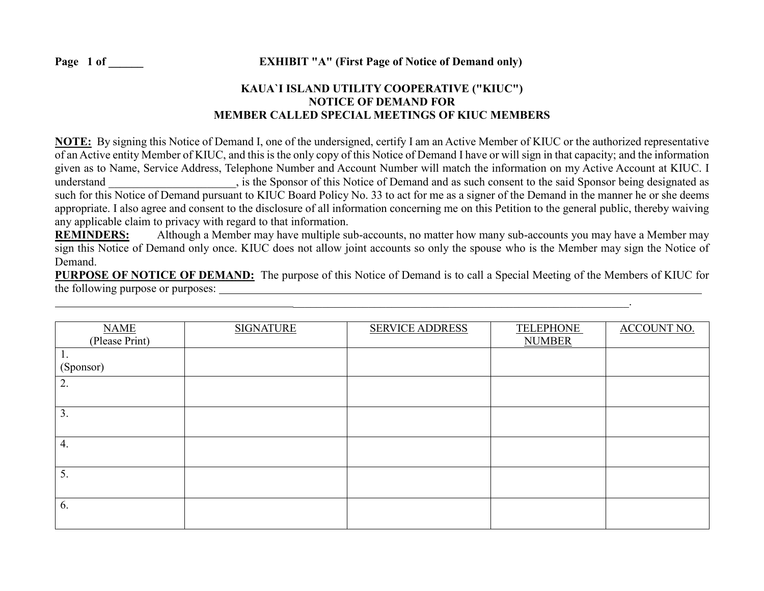# **KAUA`I ISLAND UTILITY COOPERATIVE ("KIUC") NOTICE OF DEMAND FOR MEMBER CALLED SPECIAL MEETINGS OF KIUC MEMBERS**

**NOTE:** By signing this Notice of Demand I, one of the undersigned, certify I am an Active Member of KIUC or the authorized representative of an Active entity Member of KIUC, and this is the only copy of this Notice of Demand I have or will sign in that capacity; and the information given as to Name, Service Address, Telephone Number and Account Number will match the information on my Active Account at KIUC. I understand extend this Notice of Demand and as such consent to the said Sponsor being designated as such for this Notice of Demand pursuant to KIUC Board Policy No. 33 to act for me as a signer of the Demand in the manner he or she deems appropriate. I also agree and consent to the disclosure of all information concerning me on this Petition to the general public, thereby waiving any applicable claim to privacy with regard to that information.

**REMINDERS:** Although a Member may have multiple sub-accounts, no matter how many sub-accounts you may have a Member may sign this Notice of Demand only once. KIUC does not allow joint accounts so only the spouse who is the Member may sign the Notice of Demand.

**PURPOSE OF NOTICE OF DEMAND:** The purpose of this Notice of Demand is to call a Special Meeting of the Members of KIUC for the following purpose or purposes:

 $\mathcal{L}_\text{max}$  and the contribution of the contribution of the contribution of the contribution of the contribution of

| <b>NAME</b><br>(Please Print) | <b>SIGNATURE</b> | <b>SERVICE ADDRESS</b> | <b>TELEPHONE</b><br><b>NUMBER</b> | <b>ACCOUNT NO.</b> |
|-------------------------------|------------------|------------------------|-----------------------------------|--------------------|
| 1.                            |                  |                        |                                   |                    |
| (Sponsor)                     |                  |                        |                                   |                    |
| 2.                            |                  |                        |                                   |                    |
| 3.                            |                  |                        |                                   |                    |
| 4.                            |                  |                        |                                   |                    |
| 5.                            |                  |                        |                                   |                    |
| 6.                            |                  |                        |                                   |                    |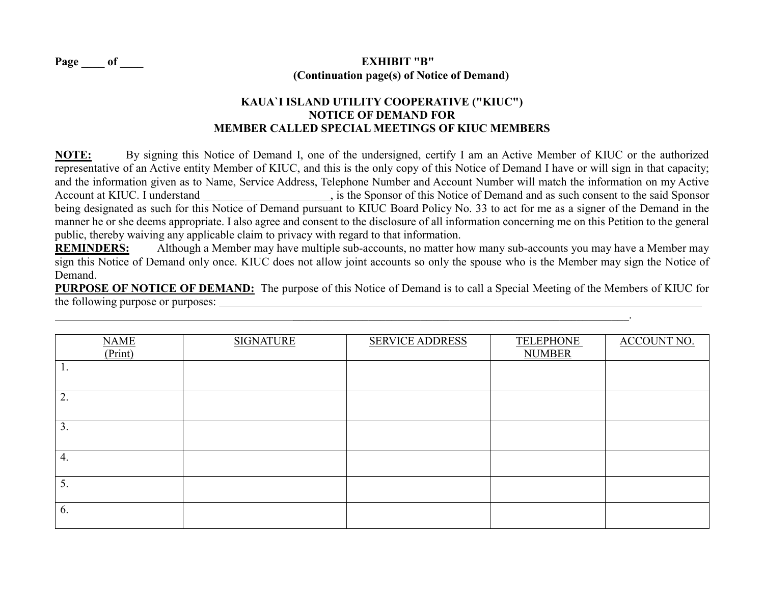# **Page \_\_\_\_ of \_\_\_\_ EXHIBIT "B" (Continuation page(s) of Notice of Demand)**

# **KAUA`I ISLAND UTILITY COOPERATIVE ("KIUC") NOTICE OF DEMAND FOR MEMBER CALLED SPECIAL MEETINGS OF KIUC MEMBERS**

**NOTE:** By signing this Notice of Demand I, one of the undersigned, certify I am an Active Member of KIUC or the authorized representative of an Active entity Member of KIUC, and this is the only copy of this Notice of Demand I have or will sign in that capacity; and the information given as to Name, Service Address, Telephone Number and Account Number will match the information on my Active Account at KIUC. I understand  $\qquad \qquad$ , is the Sponsor of this Notice of Demand and as such consent to the said Sponsor being designated as such for this Notice of Demand pursuant to KIUC Board Policy No. 33 to act for me as a signer of the Demand in the manner he or she deems appropriate. I also agree and consent to the disclosure of all information concerning me on this Petition to the general public, thereby waiving any applicable claim to privacy with regard to that information.

**REMINDERS:** Although a Member may have multiple sub-accounts, no matter how many sub-accounts you may have a Member may sign this Notice of Demand only once. KIUC does not allow joint accounts so only the spouse who is the Member may sign the Notice of Demand.

**PURPOSE OF NOTICE OF DEMAND:** The purpose of this Notice of Demand is to call a Special Meeting of the Members of KIUC for the following purpose or purposes:

 $\mathcal{L}_\text{max}$  and the contribution of the contribution of the contribution of the contribution of the contribution of

| <b>NAME</b><br>(Print) | <b>SIGNATURE</b> | <b>SERVICE ADDRESS</b> | <b>TELEPHONE</b><br><b>NUMBER</b> | <b>ACCOUNT NO.</b> |
|------------------------|------------------|------------------------|-----------------------------------|--------------------|
| 1.                     |                  |                        |                                   |                    |
| 2.                     |                  |                        |                                   |                    |
| 3.                     |                  |                        |                                   |                    |
| 4.                     |                  |                        |                                   |                    |
| 5.                     |                  |                        |                                   |                    |
| 6.                     |                  |                        |                                   |                    |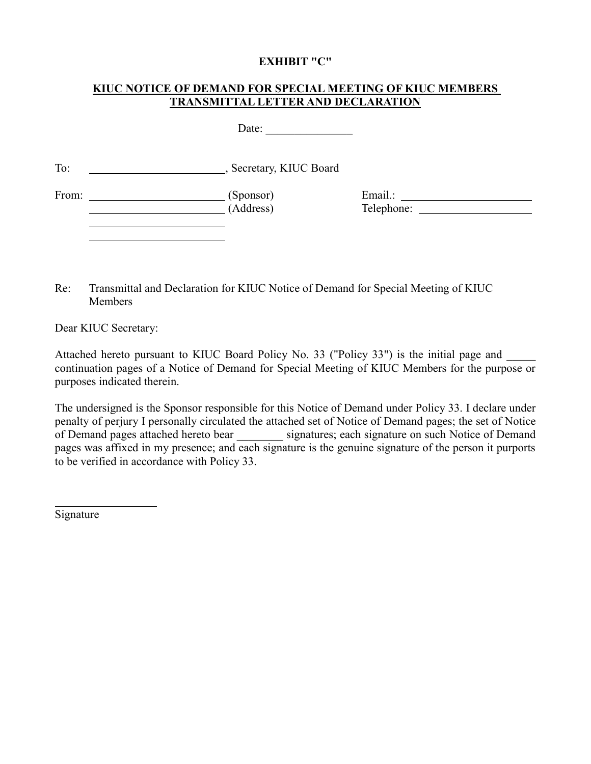#### **EXHIBIT "C"**

# **KIUC NOTICE OF DEMAND FOR SPECIAL MEETING OF KIUC MEMBERS TRANSMITTAL LETTER AND DECLARATION**

Date: \_\_\_\_\_\_\_\_\_\_\_\_\_\_\_

To: Secretary, KIUC Board

From: (Sponsor)<br>(Address)

(Address) Telephone:

Re: Transmittal and Declaration for KIUC Notice of Demand for Special Meeting of KIUC Members

Dear KIUC Secretary:

Attached hereto pursuant to KIUC Board Policy No. 33 ("Policy 33") is the initial page and continuation pages of a Notice of Demand for Special Meeting of KIUC Members for the purpose or purposes indicated therein.

The undersigned is the Sponsor responsible for this Notice of Demand under Policy 33. I declare under penalty of perjury I personally circulated the attached set of Notice of Demand pages; the set of Notice of Demand pages attached hereto bear signatures; each signature on such Notice of Demand pages was affixed in my presence; and each signature is the genuine signature of the person it purports to be verified in accordance with Policy 33.

Signature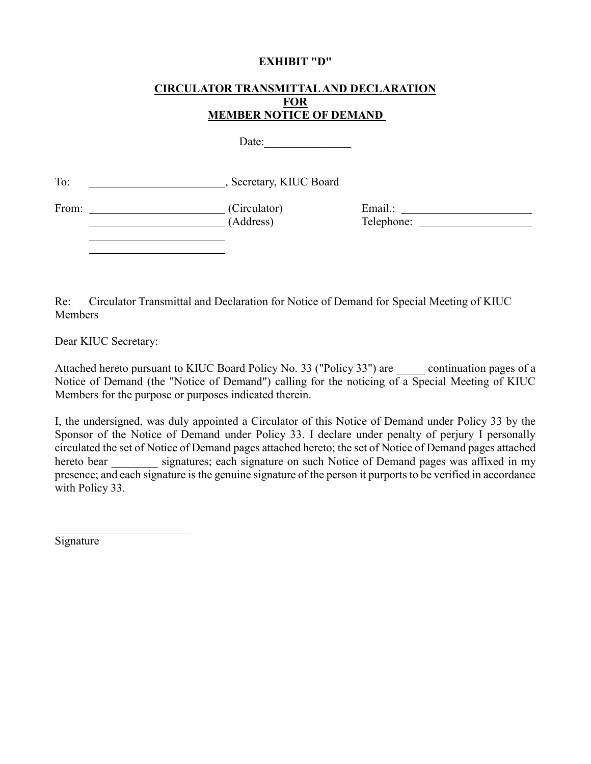#### **EXHIBIT "D"**

#### **CIRCULATOR TRANSMITTAL AND DECLARATION FOR MEMBER NOTICE OF DEMAND**

Date:\_\_\_\_\_\_\_\_\_\_\_\_\_\_\_

To: Secretary, KIUC Board

From: (Circulator) Email.: (Address) Telephone:

Re: Circulator Transmittal and Declaration for Notice of Demand for Special Meeting of KIUC **Members** 

Dear KIUC Secretary:

Attached hereto pursuant to KIUC Board Policy No. 33 ("Policy 33") are continuation pages of a Notice of Demand (the "Notice of Demand") calling for the noticing of a Special Meeting of KIUC Members for the purpose or purposes indicated therein.

I, the undersigned, was duly appointed a Circulator of this Notice of Demand under Policy 33 by the Sponsor of the Notice of Demand under Policy 33. I declare under penalty of perjury I personally circulated the set of Notice of Demand pages attached hereto; the set of Notice of Demand pages attached hereto bear signatures; each signature on such Notice of Demand pages was affixed in my presence; and each signature is the genuine signature of the person it purports to be verified in accordance with Policy 33.

Signature